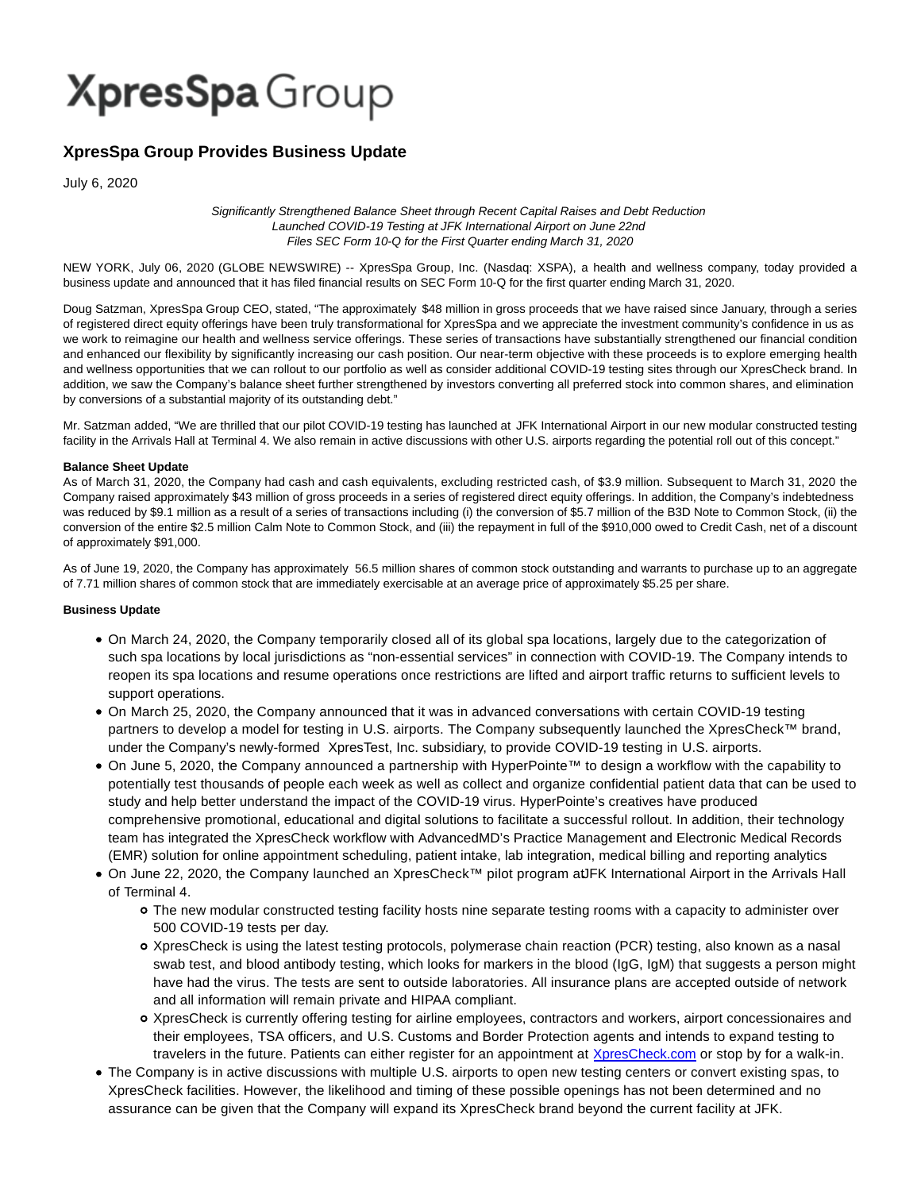# **XpresSpa** Group

### **XpresSpa Group Provides Business Update**

July 6, 2020

Significantly Strengthened Balance Sheet through Recent Capital Raises and Debt Reduction Launched COVID-19 Testing at JFK International Airport on June 22nd Files SEC Form 10-Q for the First Quarter ending March 31, 2020

NEW YORK, July 06, 2020 (GLOBE NEWSWIRE) -- XpresSpa Group, Inc. (Nasdaq: XSPA), a health and wellness company, today provided a business update and announced that it has filed financial results on SEC Form 10-Q for the first quarter ending March 31, 2020.

Doug Satzman, XpresSpa Group CEO, stated, "The approximately \$48 million in gross proceeds that we have raised since January, through a series of registered direct equity offerings have been truly transformational for XpresSpa and we appreciate the investment community's confidence in us as we work to reimagine our health and wellness service offerings. These series of transactions have substantially strengthened our financial condition and enhanced our flexibility by significantly increasing our cash position. Our near-term objective with these proceeds is to explore emerging health and wellness opportunities that we can rollout to our portfolio as well as consider additional COVID-19 testing sites through our XpresCheck brand. In addition, we saw the Company's balance sheet further strengthened by investors converting all preferred stock into common shares, and elimination by conversions of a substantial majority of its outstanding debt."

Mr. Satzman added, "We are thrilled that our pilot COVID-19 testing has launched at JFK International Airport in our new modular constructed testing facility in the Arrivals Hall at Terminal 4. We also remain in active discussions with other U.S. airports regarding the potential roll out of this concept."

#### **Balance Sheet Update**

As of March 31, 2020, the Company had cash and cash equivalents, excluding restricted cash, of \$3.9 million. Subsequent to March 31, 2020 the Company raised approximately \$43 million of gross proceeds in a series of registered direct equity offerings. In addition, the Company's indebtedness was reduced by \$9.1 million as a result of a series of transactions including (i) the conversion of \$5.7 million of the B3D Note to Common Stock, (ii) the conversion of the entire \$2.5 million Calm Note to Common Stock, and (iii) the repayment in full of the \$910,000 owed to Credit Cash, net of a discount of approximately \$91,000.

As of June 19, 2020, the Company has approximately 56.5 million shares of common stock outstanding and warrants to purchase up to an aggregate of 7.71 million shares of common stock that are immediately exercisable at an average price of approximately \$5.25 per share.

#### **Business Update**

- On March 24, 2020, the Company temporarily closed all of its global spa locations, largely due to the categorization of such spa locations by local jurisdictions as "non-essential services" in connection with COVID-19. The Company intends to reopen its spa locations and resume operations once restrictions are lifted and airport traffic returns to sufficient levels to support operations.
- On March 25, 2020, the Company announced that it was in advanced conversations with certain COVID-19 testing partners to develop a model for testing in U.S. airports. The Company subsequently launched the XpresCheck™ brand, under the Company's newly-formed XpresTest, Inc. subsidiary, to provide COVID-19 testing in U.S. airports.
- On June 5, 2020, the Company announced a partnership with HyperPointe™ to design a workflow with the capability to potentially test thousands of people each week as well as collect and organize confidential patient data that can be used to study and help better understand the impact of the COVID-19 virus. HyperPointe's creatives have produced comprehensive promotional, educational and digital solutions to facilitate a successful rollout. In addition, their technology team has integrated the XpresCheck workflow with AdvancedMD's Practice Management and Electronic Medical Records (EMR) solution for online appointment scheduling, patient intake, lab integration, medical billing and reporting analytics
- On June 22, 2020, the Company launched an XpresCheck™ pilot program at JFK International Airport in the Arrivals Hall of Terminal 4.
	- The new modular constructed testing facility hosts nine separate testing rooms with a capacity to administer over 500 COVID-19 tests per day.
	- XpresCheck is using the latest testing protocols, polymerase chain reaction (PCR) testing, also known as a nasal swab test, and blood antibody testing, which looks for markers in the blood (IgG, IgM) that suggests a person might have had the virus. The tests are sent to outside laboratories. All insurance plans are accepted outside of network and all information will remain private and HIPAA compliant.
	- XpresCheck is currently offering testing for airline employees, contractors and workers, airport concessionaires and their employees, TSA officers, and U.S. Customs and Border Protection agents and intends to expand testing to travelers in the future. Patients can either register for an appointment at [XpresCheck.com o](http://xprescheck.com/)r stop by for a walk-in.
- The Company is in active discussions with multiple U.S. airports to open new testing centers or convert existing spas, to XpresCheck facilities. However, the likelihood and timing of these possible openings has not been determined and no assurance can be given that the Company will expand its XpresCheck brand beyond the current facility at JFK.